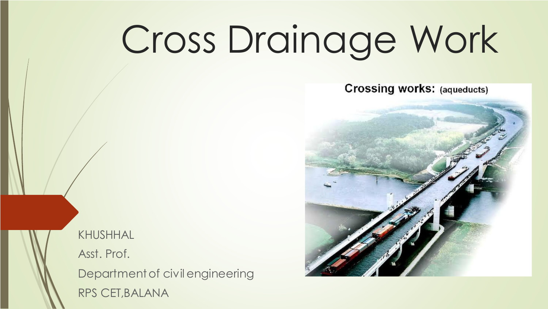# Cross Drainage Work

**Crossing works: (aqueducts)** 



KHUSHHAL Asst. Prof.

Department of civil engineering RPS CET,BALANA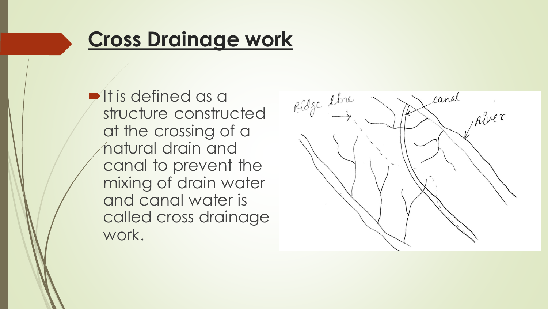#### **Cross Drainage work**

 $\blacktriangleright$  It is defined as a structure constructed at the crossing of a natural drain and canal to prevent the mixing of drain water and canal water is called cross drainage work.

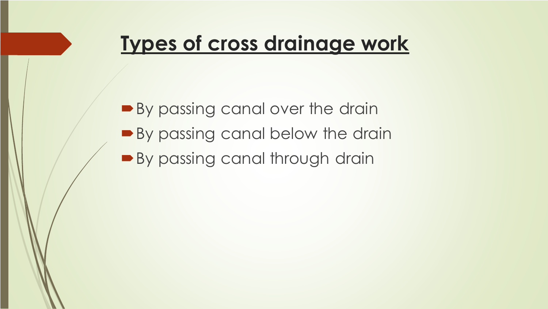## **Types of cross drainage work**

By passing canal over the drain **By passing canal below the drain By passing canal through drain**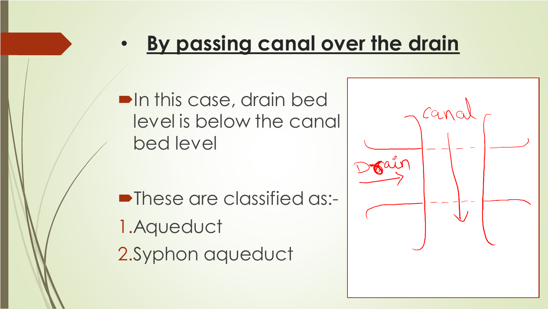# • **By passing canal over the drain**

**•In this case, drain bed** level is below the canal bed level

**-These are classified as:-**1.Aqueduct 2.Syphon aqueduct

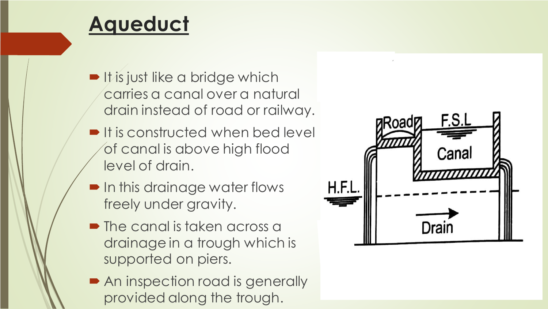## **Aqueduct**

- **It is just like a bridge which** carries a canal over a natural drain instead of road or railway.
- $\blacksquare$  It is constructed when bed level of canal is above high flood level of drain.
- **In this drainage water flows** freely under gravity.
- The canal is taken across a drainage in a trough which is supported on piers.
- An inspection road is generally provided along the trough.

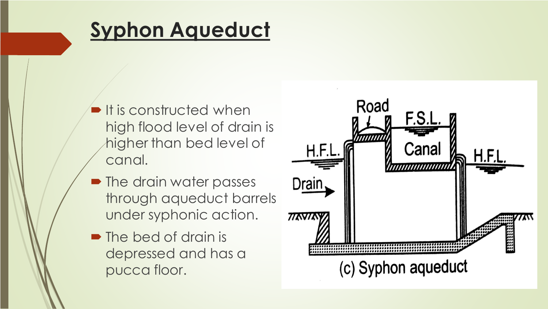# **Syphon Aqueduct**

- $\blacksquare$  It is constructed when high flood level of drain is higher than bed level of canal.
- The drain water passes through aqueduct barrels under syphonic action.
- The bed of drain is depressed and has a pucca floor.

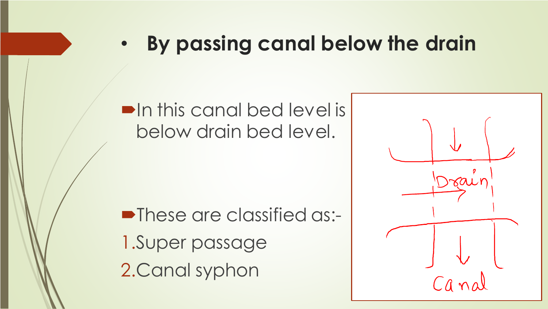#### • **By passing canal below the drain**

#### $\blacksquare$  In this canal bed level is below drain bed level.

**• These are classified as:-**1.Super passage 2.Canal syphon

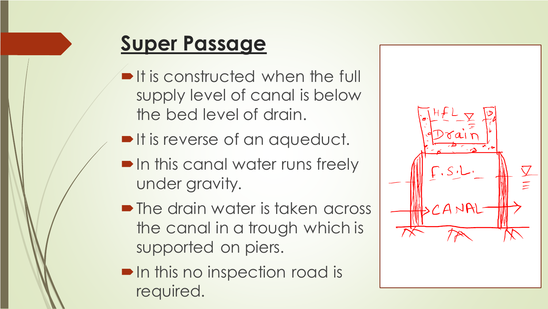# **Super Passage**

- **If is constructed when the full** supply level of canal is below the bed level of drain.
- It is reverse of an aqueduct.
- **In this canal water runs freely** under gravity.
- The drain water is taken across the canal in a trough which is supported on piers.
- **In this no inspection road is** required.

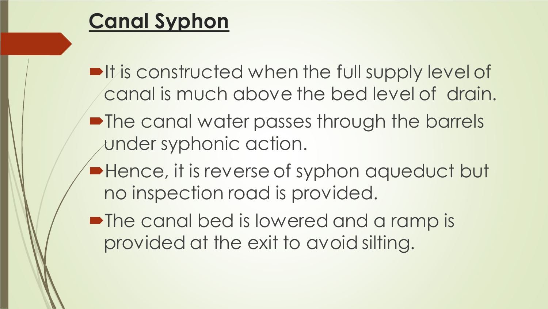## **Canal Syphon**

 $\blacksquare$ It is constructed when the full supply level of canal is much above the bed level of drain.

- The canal water passes through the barrels under syphonic action.
- **Hence, it is reverse of syphon aqueduct but** no inspection road is provided.
- The canal bed is lowered and a ramp is provided at the exit to avoid silting.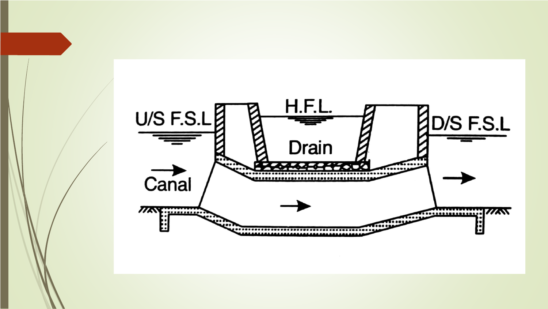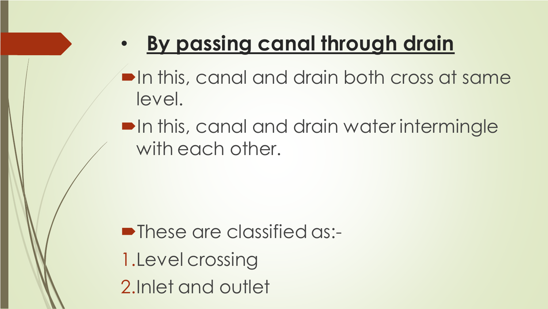# • **By passing canal through drain**

 $\blacksquare$  In this, canal and drain both cross at same level.

**•In this, canal and drain water intermingle** with each other.

**•These are classified as:-**1.Level crossing 2.Inlet and outlet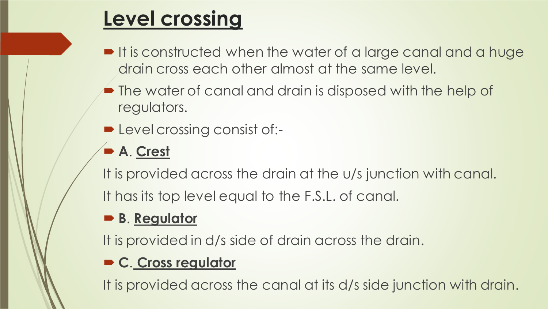# **Level crossing**

- **If is constructed when the water of a large canal and a huge** drain cross each other almost at the same level.
- **The water of canal and drain is disposed with the help of** regulators.
- **D** Level crossing consist of:-

#### **A**. **Crest**

It is provided across the drain at the u/s junction with canal. It has its top level equal to the F.S.L. of canal.

#### **B**. **Regulator**

It is provided in d/s side of drain across the drain.

#### **C**. **Cross regulator**

It is provided across the canal at its d/s side junction with drain.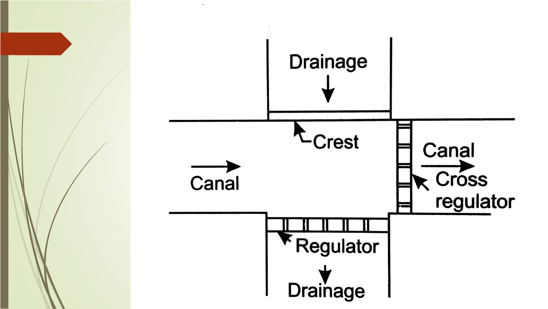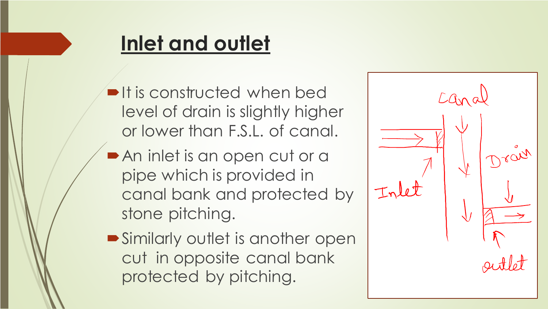# **Inlet and outlet**

- $\blacksquare$ It is constructed when bed level of drain is slightly higher or lower than F.S.L. of canal.
- An inlet is an open cut or a pipe which is provided in canal bank and protected by stone pitching.
- **Similarly outlet is another open** cut in opposite canal bank protected by pitching.